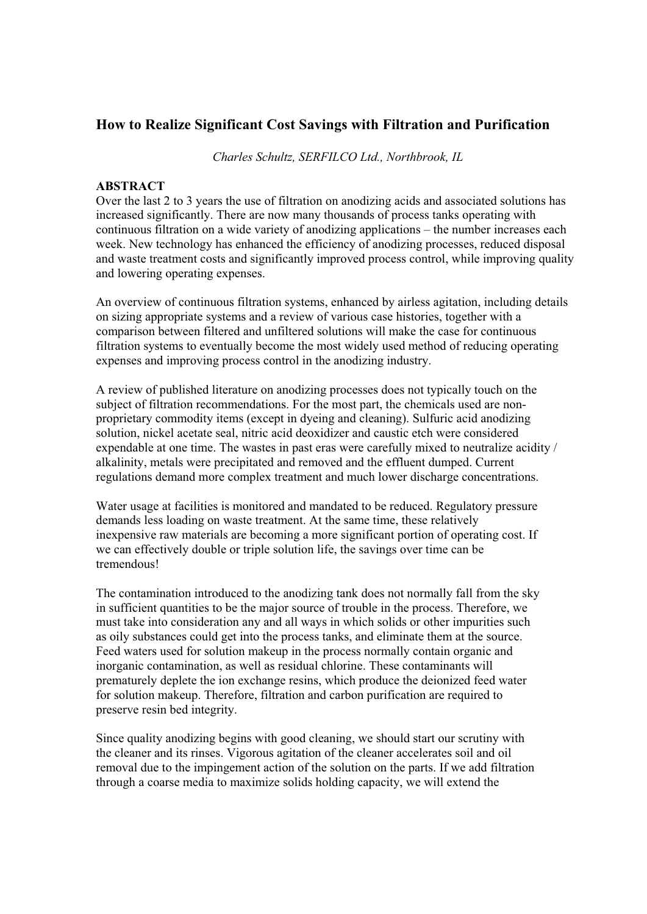# **How to Realize Significant Cost Savings with Filtration and Purification**

*Charles Schultz, SERFILCO Ltd., Northbrook, IL* 

## **ABSTRACT**

Over the last 2 to 3 years the use of filtration on anodizing acids and associated solutions has increased significantly. There are now many thousands of process tanks operating with continuous filtration on a wide variety of anodizing applications – the number increases each week. New technology has enhanced the efficiency of anodizing processes, reduced disposal and waste treatment costs and significantly improved process control, while improving quality and lowering operating expenses.

An overview of continuous filtration systems, enhanced by airless agitation, including details on sizing appropriate systems and a review of various case histories, together with a comparison between filtered and unfiltered solutions will make the case for continuous filtration systems to eventually become the most widely used method of reducing operating expenses and improving process control in the anodizing industry.

A review of published literature on anodizing processes does not typically touch on the subject of filtration recommendations. For the most part, the chemicals used are nonproprietary commodity items (except in dyeing and cleaning). Sulfuric acid anodizing solution, nickel acetate seal, nitric acid deoxidizer and caustic etch were considered expendable at one time. The wastes in past eras were carefully mixed to neutralize acidity / alkalinity, metals were precipitated and removed and the effluent dumped. Current regulations demand more complex treatment and much lower discharge concentrations.

Water usage at facilities is monitored and mandated to be reduced. Regulatory pressure demands less loading on waste treatment. At the same time, these relatively inexpensive raw materials are becoming a more significant portion of operating cost. If we can effectively double or triple solution life, the savings over time can be tremendous!

The contamination introduced to the anodizing tank does not normally fall from the sky in sufficient quantities to be the major source of trouble in the process. Therefore, we must take into consideration any and all ways in which solids or other impurities such as oily substances could get into the process tanks, and eliminate them at the source. Feed waters used for solution makeup in the process normally contain organic and inorganic contamination, as well as residual chlorine. These contaminants will prematurely deplete the ion exchange resins, which produce the deionized feed water for solution makeup. Therefore, filtration and carbon purification are required to preserve resin bed integrity.

Since quality anodizing begins with good cleaning, we should start our scrutiny with the cleaner and its rinses. Vigorous agitation of the cleaner accelerates soil and oil removal due to the impingement action of the solution on the parts. If we add filtration through a coarse media to maximize solids holding capacity, we will extend the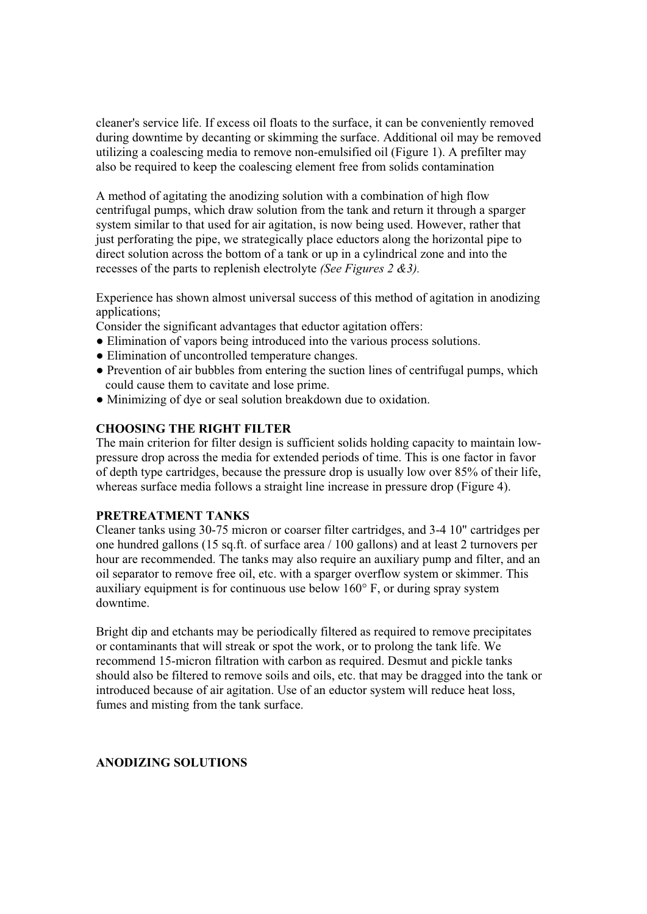cleaner's service life. If excess oil floats to the surface, it can be conveniently removed during downtime by decanting or skimming the surface. Additional oil may be removed utilizing a coalescing media to remove non-emulsified oil (Figure 1). A prefilter may also be required to keep the coalescing element free from solids contamination

A method of agitating the anodizing solution with a combination of high flow centrifugal pumps, which draw solution from the tank and return it through a sparger system similar to that used for air agitation, is now being used. However, rather that just perforating the pipe, we strategically place eductors along the horizontal pipe to direct solution across the bottom of a tank or up in a cylindrical zone and into the recesses of the parts to replenish electrolyte *(See Figures 2 &3).* 

Experience has shown almost universal success of this method of agitation in anodizing applications;

Consider the significant advantages that eductor agitation offers:

- ! Elimination of vapors being introduced into the various process solutions.
- Elimination of uncontrolled temperature changes.
- ! Prevention of air bubbles from entering the suction lines of centrifugal pumps, which could cause them to cavitate and lose prime.
- Minimizing of dye or seal solution breakdown due to oxidation.

## **CHOOSING THE RIGHT FILTER**

The main criterion for filter design is sufficient solids holding capacity to maintain lowpressure drop across the media for extended periods of time. This is one factor in favor of depth type cartridges, because the pressure drop is usually low over 85% of their life, whereas surface media follows a straight line increase in pressure drop (Figure 4).

## **PRETREATMENT TANKS**

Cleaner tanks using 30-75 micron or coarser filter cartridges, and 3-4 10" cartridges per one hundred gallons (15 sq.ft. of surface area / 100 gallons) and at least 2 turnovers per hour are recommended. The tanks may also require an auxiliary pump and filter, and an oil separator to remove free oil, etc. with a sparger overflow system or skimmer. This auxiliary equipment is for continuous use below 160° F, or during spray system downtime.

Bright dip and etchants may be periodically filtered as required to remove precipitates or contaminants that will streak or spot the work, or to prolong the tank life. We recommend 15-micron filtration with carbon as required. Desmut and pickle tanks should also be filtered to remove soils and oils, etc. that may be dragged into the tank or introduced because of air agitation. Use of an eductor system will reduce heat loss, fumes and misting from the tank surface.

## **ANODIZING SOLUTIONS**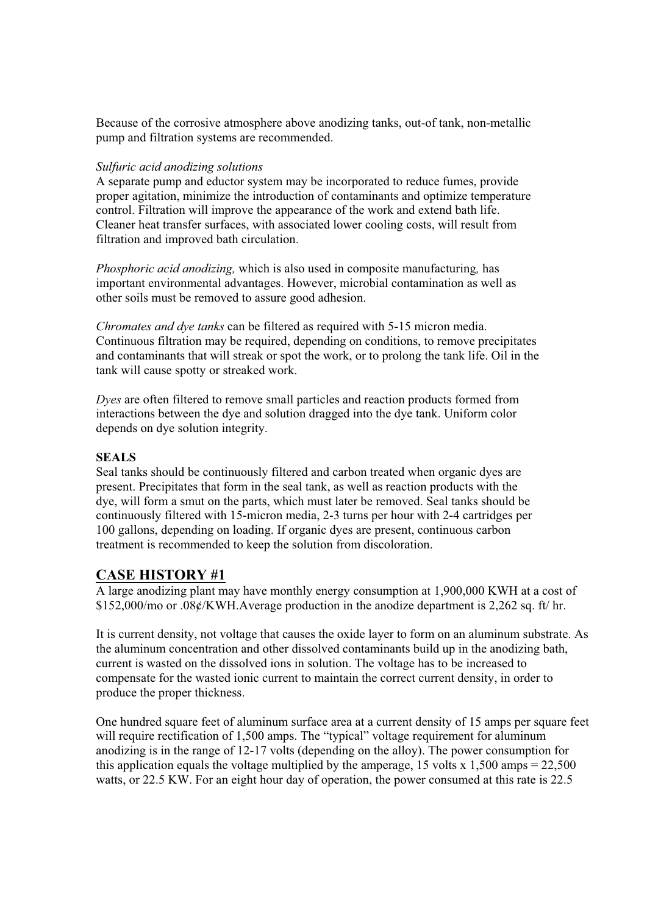Because of the corrosive atmosphere above anodizing tanks, out-of tank, non-metallic pump and filtration systems are recommended.

## *Sulfuric acid anodizing solutions*

A separate pump and eductor system may be incorporated to reduce fumes, provide proper agitation, minimize the introduction of contaminants and optimize temperature control. Filtration will improve the appearance of the work and extend bath life. Cleaner heat transfer surfaces, with associated lower cooling costs, will result from filtration and improved bath circulation.

*Phosphoric acid anodizing,* which is also used in composite manufacturing*,* has important environmental advantages. However, microbial contamination as well as other soils must be removed to assure good adhesion.

*Chromates and dye tanks* can be filtered as required with 5-15 micron media. Continuous filtration may be required, depending on conditions, to remove precipitates and contaminants that will streak or spot the work, or to prolong the tank life. Oil in the tank will cause spotty or streaked work.

*Dyes* are often filtered to remove small particles and reaction products formed from interactions between the dye and solution dragged into the dye tank. Uniform color depends on dye solution integrity.

## **SEALS**

Seal tanks should be continuously filtered and carbon treated when organic dyes are present. Precipitates that form in the seal tank, as well as reaction products with the dye, will form a smut on the parts, which must later be removed. Seal tanks should be continuously filtered with 15-micron media, 2-3 turns per hour with 2-4 cartridges per 100 gallons, depending on loading. If organic dyes are present, continuous carbon treatment is recommended to keep the solution from discoloration.

# **CASE HISTORY #1**

A large anodizing plant may have monthly energy consumption at 1,900,000 KWH at a cost of \$152,000/mo or .08¢/KWH.Average production in the anodize department is 2,262 sq. ft/ hr.

It is current density, not voltage that causes the oxide layer to form on an aluminum substrate. As the aluminum concentration and other dissolved contaminants build up in the anodizing bath, current is wasted on the dissolved ions in solution. The voltage has to be increased to compensate for the wasted ionic current to maintain the correct current density, in order to produce the proper thickness.

One hundred square feet of aluminum surface area at a current density of 15 amps per square feet will require rectification of 1,500 amps. The "typical" voltage requirement for aluminum anodizing is in the range of 12-17 volts (depending on the alloy). The power consumption for this application equals the voltage multiplied by the amperage, 15 volts x 1,500 amps =  $22,500$ watts, or 22.5 KW. For an eight hour day of operation, the power consumed at this rate is 22.5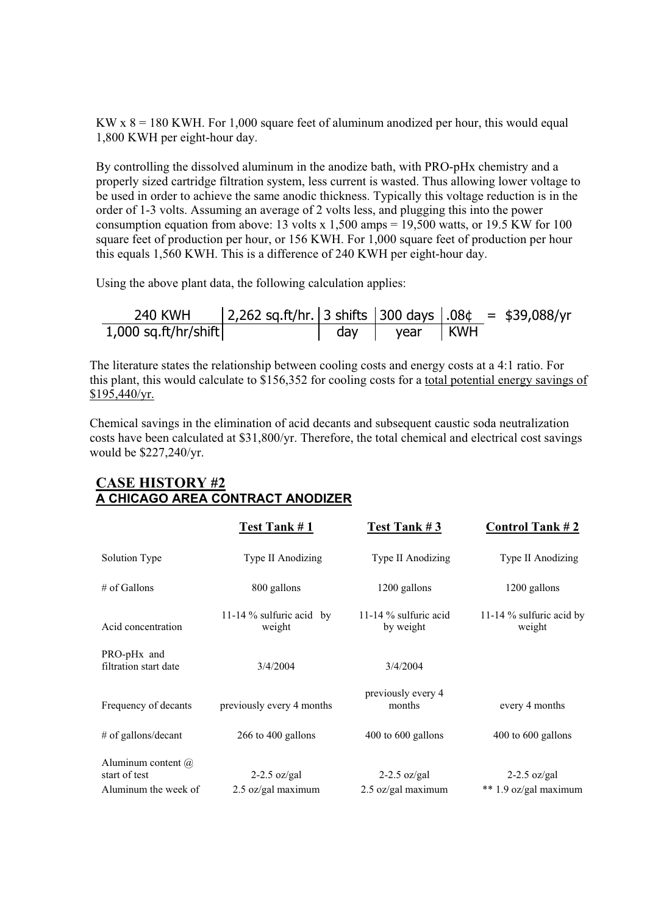KW  $x$  8 = 180 KWH. For 1,000 square feet of aluminum anodized per hour, this would equal 1,800 KWH per eight-hour day.

By controlling the dissolved aluminum in the anodize bath, with PRO-pHx chemistry and a properly sized cartridge filtration system, less current is wasted. Thus allowing lower voltage to be used in order to achieve the same anodic thickness. Typically this voltage reduction is in the order of 1-3 volts. Assuming an average of 2 volts less, and plugging this into the power consumption equation from above: 13 volts x 1,500 amps = 19,500 watts, or 19.5 KW for 100 square feet of production per hour, or 156 KWH. For 1,000 square feet of production per hour this equals 1,560 KWH. This is a difference of 240 KWH per eight-hour day.

Using the above plant data, the following calculation applies:

| 240 KWH                | 2,262 sq.ft/hr. 3 shifts   300 days $.08¢ = $39,088/yr$ |     |                |  |  |
|------------------------|---------------------------------------------------------|-----|----------------|--|--|
| $1,000$ sq.ft/hr/shift |                                                         | day | '   year   KWH |  |  |

The literature states the relationship between cooling costs and energy costs at a 4:1 ratio. For this plant, this would calculate to \$156,352 for cooling costs for a total potential energy savings of  $$195,440/yr.$ 

Chemical savings in the elimination of acid decants and subsequent caustic soda neutralization costs have been calculated at \$31,800/yr. Therefore, the total chemical and electrical cost savings would be \$227,240/yr.

# Test Tank # 1 Test Tank # 3 Control Tank # 2 Solution Type Type II Anodizing Type II Anodizing Type II Anodizing Type II Anodizing # of Gallons 800 gallons 1200 gallons 1200 gallons Acid concentration 11-14 % sulfuric acid by weight 11-14 % sulfuric acid by weight 11-14 % sulfuric acid by weight PRO-pHx and filtration start date 3/4/2004 3/4/2004 Frequency of decants previously every 4 months previously every 4<br>months every 4 months # of gallons/decant 266 to 400 gallons 400 to 600 gallons 400 to 600 gallons Aluminum content @ start of test 2-2.5 oz/gal 2-2.5 oz/gal 2-2.5 oz/gal Aluminum the week of 2.5 oz/gal maximum 2.5 oz/gal maximum  $\ast$  1.9 oz/gal maximum

# **CASE HISTORY #2 A CHICAGO AREA CONTRACT ANODIZER**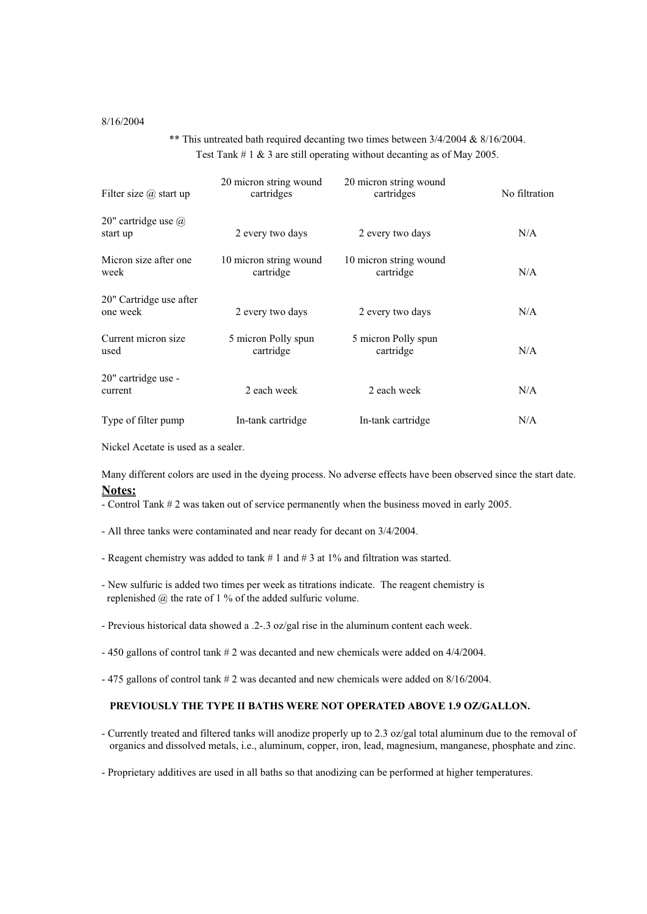#### 8/16/2004

\*\* This untreated bath required decanting two times between 3/4/2004 & 8/16/2004. Test Tank # 1 & 3 are still operating without decanting as of May 2005.

| Filter size $\omega$ start up          | 20 micron string wound<br>cartridges | 20 micron string wound<br>cartridges | No filtration |
|----------------------------------------|--------------------------------------|--------------------------------------|---------------|
| 20" cartridge use $\omega$<br>start up | 2 every two days                     | 2 every two days                     | N/A           |
| Micron size after one<br>week          | 10 micron string wound<br>cartridge  | 10 micron string wound<br>cartridge  | N/A           |
| 20" Cartridge use after<br>one week    | 2 every two days                     | 2 every two days                     | N/A           |
| Current micron size<br>used            | 5 micron Polly spun<br>cartridge     | 5 micron Polly spun<br>cartridge     | N/A           |
| 20" cartridge use -<br>current         | 2 each week                          | 2 each week                          | N/A           |
| Type of filter pump                    | In-tank cartridge                    | In-tank cartridge                    | N/A           |

Nickel Acetate is used as a sealer.

Many different colors are used in the dyeing process. No adverse effects have been observed since the start date. **Notes:**

- Control Tank # 2 was taken out of service permanently when the business moved in early 2005.

- All three tanks were contaminated and near ready for decant on 3/4/2004.
- Reagent chemistry was added to tank # 1 and # 3 at 1% and filtration was started.
- New sulfuric is added two times per week as titrations indicate. The reagent chemistry is replenished  $@$  the rate of 1  $\%$  of the added sulfuric volume.
- Previous historical data showed a .2-.3 oz/gal rise in the aluminum content each week.
- 450 gallons of control tank # 2 was decanted and new chemicals were added on 4/4/2004.
- 475 gallons of control tank # 2 was decanted and new chemicals were added on 8/16/2004.

#### **PREVIOUSLY THE TYPE II BATHS WERE NOT OPERATED ABOVE 1.9 OZ/GALLON.**

- Currently treated and filtered tanks will anodize properly up to 2.3 oz/gal total aluminum due to the removal of organics and dissolved metals, i.e., aluminum, copper, iron, lead, magnesium, manganese, phosphate and zinc.

- Proprietary additives are used in all baths so that anodizing can be performed at higher temperatures.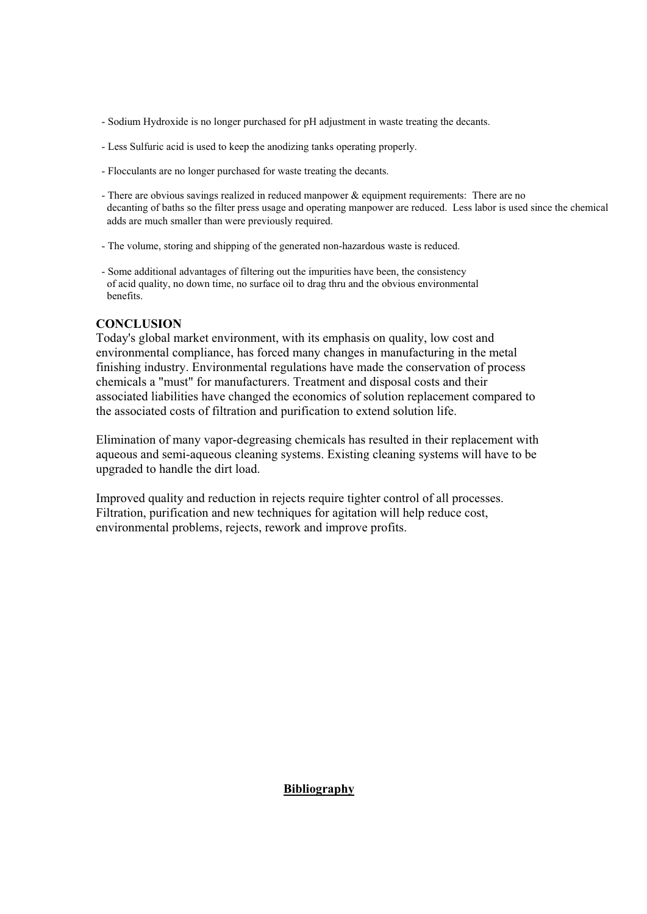- Sodium Hydroxide is no longer purchased for pH adjustment in waste treating the decants.
- Less Sulfuric acid is used to keep the anodizing tanks operating properly.
- Flocculants are no longer purchased for waste treating the decants.
- There are obvious savings realized in reduced manpower & equipment requirements: There are no decanting of baths so the filter press usage and operating manpower are reduced. Less labor is used since the chemical adds are much smaller than were previously required.
- The volume, storing and shipping of the generated non-hazardous waste is reduced.
- Some additional advantages of filtering out the impurities have been, the consistency of acid quality, no down time, no surface oil to drag thru and the obvious environmental benefits.

## **CONCLUSION**

Today's global market environment, with its emphasis on quality, low cost and environmental compliance, has forced many changes in manufacturing in the metal finishing industry. Environmental regulations have made the conservation of process chemicals a "must" for manufacturers. Treatment and disposal costs and their associated liabilities have changed the economics of solution replacement compared to the associated costs of filtration and purification to extend solution life.

Elimination of many vapor-degreasing chemicals has resulted in their replacement with aqueous and semi-aqueous cleaning systems. Existing cleaning systems will have to be upgraded to handle the dirt load.

Improved quality and reduction in rejects require tighter control of all processes. Filtration, purification and new techniques for agitation will help reduce cost, environmental problems, rejects, rework and improve profits.

## **Bibliography**